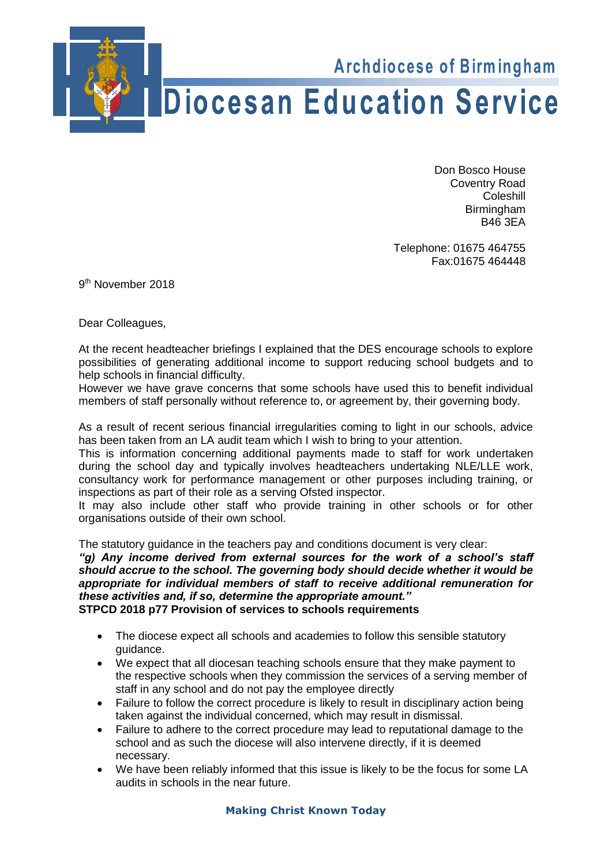

Don Bosco House Don Bosco House<br>Coventry Road **Coleshill** Birmingham  $B46.3EA$ 

Fax:01675 464448 Telephone: 01675 464755 Fax:01675 464448<br>9<sup>th</sup> November 2018

9<sup>th</sup> November 2018

Dear Colleagues,

At the recent headteacher briefings I explained that the DES encourage schools to explore possibilities of generating additional income to support reducing school budgets and to help schools in financial difficulty.

However we have grave concerns that some schools have used this to benefit individual members of staff personally without reference to, or agreement by, their governing body.

As a result of recent serious financial irregularities coming to light in our schools, advice has been taken from an LA audit team which I wish to bring to your attention.

This is information concerning additional payments made to staff for work undertaken during the school day and typically involves headteachers undertaking NLE/LLE work, consultancy work for performance management or other purposes including training, or inspections as part of their role as a serving Ofsted inspector.

It may also include other staff who provide training in other schools or for other organisations outside of their own school.

The statutory guidance in the teachers pay and conditions document is very clear:

*"g) Any income derived from external sources for the work of a school's staff should accrue to the school. The governing body should decide whether it would be appropriate for individual members of staff to receive additional remuneration for these activities and, if so, determine the appropriate amount."* **STPCD 2018 p77 Provision of services to schools requirements**

- The diocese expect all schools and academies to follow this sensible statutory guidance.
- We expect that all diocesan teaching schools ensure that they make payment to the respective schools when they commission the services of a serving member of staff in any school and do not pay the employee directly
- Failure to follow the correct procedure is likely to result in disciplinary action being taken against the individual concerned, which may result in dismissal.
- Failure to adhere to the correct procedure may lead to reputational damage to the school and as such the diocese will also intervene directly, if it is deemed necessary.
- We have been reliably informed that this issue is likely to be the focus for some LA audits in schools in the near future.

## **Making Christ Known Today**